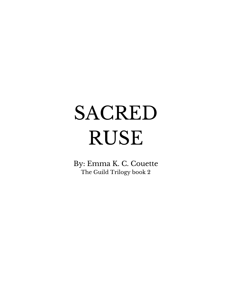## SACRED RUSE

By: Emma K. C. Couette The Guild Trilogy book 2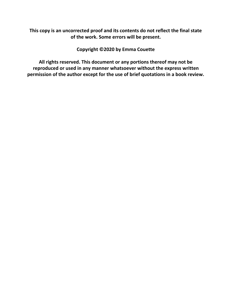**This copy is an uncorrected proof and its contents do not reflect the final state of the work. Some errors will be present.**

**Copyright ©2020 by Emma Couette**

**All rights reserved. This document or any portions thereof may not be reproduced or used in any manner whatsoever without the express written permission of the author except for the use of brief quotations in a book review.**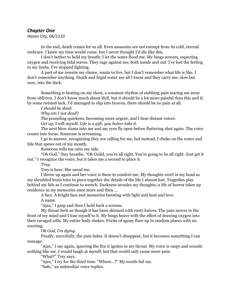## *Chapter One*

*Haven City, 06/2110*

In the end, death comes for us all. Even assassins are not exempt from its cold, eternal embrace. I knew my time would come, but I never thought I'd die like this.

I don't bother to hold my breath; I let the water flood me. My lungs scream, expecting oxygen and receiving tidal waves. They rage against me, both inside and out. I've lost the feeling in my limbs. I've stopped fighting.

A part of me resents my choice, wants to live, but I don't remember what life is like. I don't remember anything. Death and frigid water are all I know and they carry me, slow but sure, into the dark.

Something is beating on my chest, a constant rhythm of stabbing pain tearing me away from oblivion. I don't know much about Hell, but it should be a lot more painful than this and if, by some twisted luck, I'd managed to slip into heaven, there should be no pain at all.

*I should be dead.*

*Why am I not dead?*

The pounding quickens, becoming more urgent, and I hear distant voices.

*Get up*, I will myself. *Life is a gift; you better take it.*

The next blow slams into me and my eyes fly open before fluttering shut again. The voice comes into focus. Someone is screaming.

I go to answer, recognizing they are calling for me, but instead, I choke on the water and bile that spews out of my mouth.

Someone rolls me onto my side.

"Oh God," they breathe. "Oh Guild, you're all right. You're going to be all right. Just get it out." I recognize the voice, but it takes me a second to place it.

*Trey.*

Trey is here. She saved me.

I throw up again and her voice is there to comfort me. My thoughts swirl in my head as my shredded brain tries to piece together the details of the life I almost lost. Tragedies play behind my lids as I continue to wretch. Darkness invades my thoughts; a life of horror takes up residence in my memories once more and then....

A face. A bright face and memories bursting with light and heat and love.

A name.

"Ajax," I gasp and then I hold back a scream.

My throat feels as though it has been skinned with rusty knives. The pain moves to the front of my mind and I lose myself to it. My lungs heave with the effort of drawing oxygen into their ravaged cells. My entire body shakes. Pricks of agony flare up in random places with no warning.

*Oh God, I'm dying.*

Finally, mercifully, the pain fades. It doesn't disappear, but it becomes something I can manage.

"Ajax," I say again, ignoring the fire it ignites in my throat. My voice is raspy and sounds nothing like me. I would laugh at myself, but that would only cause more pain.

"What?" Trey says.

"Ajax," I try for the third time. "Where…?" My words fail me.

"Safe," an unfamiliar voice replies.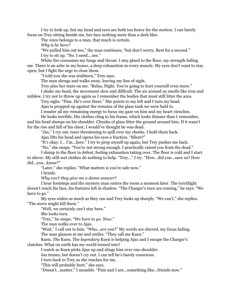I try to look up, but my head and eyes are both too heavy for the motion. I can barely focus on Trey sitting beside me, her face nothing more than a dark blur.

The voice belongs to a man, that much is certain.

*Why is he here?*

"We pulled him out too," the man continues, "but don't worry. Rest for a second." I try to sit up. "No. I need….see."

White fire consumes my lungs and throat. I stay glued to the floor, my strength failing me. There is an ache in my bones, a deep exhaustion in every muscle. My eyes don't want to stay open, but I fight the urge to close them.

"I told you she was stubborn," Trey says.

The man shrugs and walks away, leaving my line of sight.

Trey pins her stare on me. "Relax, Night. You're going to hurt yourself even more."

I shake my head, the movement slow and difficult. The air around us smells like iron and mildew. I try not to throw up again as I remember the bodies that must still litter the area.

Trey sighs. "Fine. He's over there." She points to my left and I turn my head.

Ajax is propped up against the remains of the glass tank we were held in.

I muster all my remaining energy to focus my gaze on him and my heart clenches.

He looks terrible. His clothes cling to his frame, which looks thinner than I remember, and his head slumps on his shoulder. Chunks of glass litter the ground around him. If it wasn't for the rise and fall of his chest, I would've thought he was dead.

"Jax," I cry out, tears threatening to spill over my cheeks. I hold them back.

Ajax lifts his head and opens his eyes a fraction. "Silent?"

"It's okay. I… I'm...here." I try to prop myself up again, but Trey pushes me back.

"No," she snaps. "You're not strong enough. I practically raised you from the dead."

I slump to the floor in defeat, feeling exhaustion taking over. The floor is cold and I start to shiver. My still-wet clothes do nothing to help. "Trey..." I try. "How...did you...save us? How did...you...know?"

"Later," she replies. "What matters is you're safe now."

I bristle.

*Why can't they give me a damn answer?*

I hear footsteps and the mystery man enters the room a moment later. The torchlight doesn't reach his face, his features left in shadow. "The Charger's men are coming," he says. "We have to go."

My eyes widen as much as they can and Trey looks up sharply. "We can't," she replies. "The move might kill them."

"Well, we certainly can't stay here."

She looks torn.

"Trey," he snaps. "We have to *go*. *Now*."

The man walks over to Ajax.

"Wait," I call out to him. "Who...*are* you?" My words are slurred, my focus fading. The man glances at me and smiles. "They call me Kuen."

Kuen. *The* Kuen. The *legendary* Kuen is helping Ajax and I escape the Charger's clutches. What on earth has my world turned into?

I watch as Kuen picks Ajax up and slings him over one shoulder.

Jax tenses, but doesn't cry out. I can tell he's barely conscious.

I turn back to Trey as she reaches for me.

"This will probably hurt," she says.

"Doesn't...matter," I mumble. "Pain and I are...something like...friends now."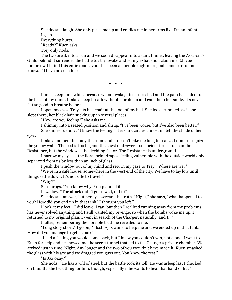She doesn't laugh. She only picks me up and cradles me in her arms like I'm an infant. I gasp.

Everything hurts. "Ready?" Kuen asks.

Trey only nods.

The two break into a run and we soon disappear into a dark tunnel, leaving the Assassin's Guild behind. I surrender the battle to stay awake and let my exhaustion claim me. Maybe tomorrow I'll find this entire endeavour has been a horrible nightmare, but some part of me knows I'll have no such luck.

. . .

I must sleep for a while, because when I wake, I feel refreshed and the pain has faded to the back of my mind. I take a deep breath without a problem and can't help but smile. It's never felt so good to breathe before.

I open my eyes. Trey sits in a chair at the foot of my bed. She looks rumpled, as if she slept there, her black hair sticking up in several places.

"How are you feeling?" she asks me.

I shimmy into a seated position and shrug. "I've been worse, but I've also been better."

She smiles ruefully. "I know the feeling." Her dark circles almost match the shade of her

eyes.

I take a moment to study the room and it doesn't take me long to realize I don't recognize the yellow walls. The bed is too big and the chest of drawers too ancient for us to be in the Resistance, but the window is the deciding factor. The Resistance is underground.

I narrow my eyes at the floral print drapes, feeling vulnerable with the outside world only separated from us by less than an inch of glass.

I push the window out of my mind and return my gaze to Trey. "Where are we?"

"We're in a safe house, somewhere in the west end of the city. We have to lay low until things settle down. It's not safe to travel."

"Why?"

She shrugs. "You know why. You planned it."

I swallow. "The attack didn't go so well, did it?"

She doesn't answer, but her eyes scream the truth. "Night," she says, "what happened to you? How did you end up in that tank? I thought you left."

I look at my feet. "I did leave. I ran, but then I realized running away from my problems has never solved anything and I still wanted my revenge, so when the bombs woke me up, I returned to my original plan. I went in search of the Charger, naturally, and I..."

I falter, remembering the horrible truth he revealed to me.

"Long story short," I go on, "I lost. Ajax came to help me and we ended up in that tank. How did you manage to get us out?"

"I had a feeling you would come back, but I knew you couldn't win, not alone. I went to Kuen for help and he showed me the secret tunnel that led to the Charger's private chamber. We arrived just in time, Night. Any longer and the two of you wouldn't have made it. Kuen smashed the glass with his axe and we dragged you guys out. You know the rest."

"Is Jax okay?"

She nods. "He has a will of steel, but the battle took its toll. He was asleep last I checked on him. It's the best thing for him, though, especially if he wants to heal that hand of his."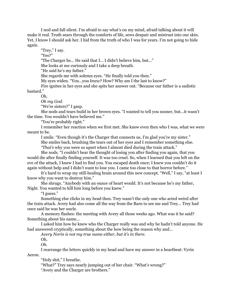I nod and fall silent. I'm afraid to say what's on my mind, afraid talking about it will make it real. Truth sears through the comforts of life, sews despair and mistrust into our skin. Yet, I know I should ask her. I hid from the truth of who I was for years. I'm not going to hide again.

"Trey," I say. "Yes?"

"The Charger he... He said that I... I didn't believe him, but..."

She looks at me curiously and I take a deep breath.

"He said he's my father."

She regards me with solemn eyes. "He finally told you then."

My eyes widen. "You...you *knew*? How? Why am I the last to know?"

Fire ignites in her eyes and she spits her answer out. "Because our father is a sadistic bastard."

Oh.

*Oh my God.*

"We're sisters?" I gasp.

She nods and tears build in her brown eyes. "I wanted to tell you sooner, but...it wasn't the time. You wouldn't have believed me."

"You're probably right."

I remember her reaction when we first met. She knew even then who I was, what we were meant to be.

I smile. "Even though it's the Charger that connects us, I'm glad you're my sister."

She smiles back, brushing the tears out of her eyes and I remember something else. *"That's* why you were so upset when I almost died during the train attack."

She nods. "I couldn't bear the thought of losing you after finding you again, that you would die after finally finding yourself. It was too cruel. So, when I learned that you left on the eve of the attack, I knew I had to find you. You escaped death once; I knew you couldn't do it again without help and I didn't want to lose you. I came too close to that horror before."

It's hard to wrap my still-healing brain around this new concept. "Well," I say, "at least I know why you want to destroy him."

She shrugs. "Anybody with an ounce of heart would. It's not because he's my father, Night. You wanted to kill him long before you knew."

"I guess."

Something else clicks in my head then. Trey wasn't the only one who acted weird after the train attack. Avery had also come all the way from the Barn to see me and Trey… Trey had once said he was her uncle.

A memory flashes: the meeting with Avery all those weeks ago. What was it he said? Something about his name...

I asked him how he knew who the Charger really was and why he hadn't told anyone. He had answered cryptically, something about the how being the reason why and...

*Avery Norin is not my true name either, but it's in there.*

Oh.

*Oh.*

I rearrange the letters quickly in my head and have my answer in a heartbeat: Vyrin Aeron.

"Holy shit," I breathe.

"What?" Trey says nearly jumping out of her chair. "What's wrong?"

"Avery and the Charger are brothers."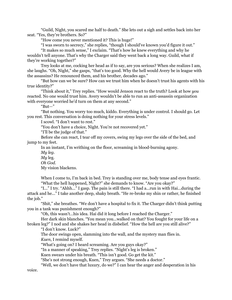"Guild, Night, you scared me half to death." She lets out a sigh and settles back into her seat. "Yes, they're brothers. So?"

"How come you never mentioned it? This is huge!"

"I was sworn to secrecy," she replies, "though I should've known you'd figure it out."

"It makes so much sense," I exclaim. "That's how he knew everything and why he wouldn't tell anyone. That's why the Charger said they went back a long way. Guild, what if they're working together?"

Trey looks at me, cocking her head as if to say, are you serious? When she realizes I am, she laughs. "Oh, Night," she gasps, "that's too good. Why the hell would Avery be in league with the assassins? He renounced them, and his brother, decades ago."

"But how can we be sure? How can we trust him when he doesn't trust his agents with his true identity?"

"Think about it," Trey replies. "How would Jenson react to the truth? Look at how *you* reacted. No one would trust him. Avery wouldn't be able to run an anti-assassin organization with everyone worried he'd turn on them at any second."

" $But -$ "

"But nothing. You worry too much, kiddo. Everything is under control. I should go. Let you rest. This conversation is doing nothing for your stress levels."

I scowl. "I don't want to rest."

"You don't have a choice, Night. You're not recovered yet."

"I'll be the judge of that."

Before she can react, I tear off my covers, swing my legs over the side of the bed, and jump to my feet.

In an instant, I'm writhing on the floor, screaming in blood-burning agony.

*My leg.*

*My* leg*.*

*Oh God.*

My vision blackens.

When I come to, I'm back in bed. Trey is standing over me, body tense and eyes frantic. "What the hell happened, Night?" she demands to know. "Are you okay?"

"I..." I try. "Ahhh..." I gasp. The pain is still there. "I had a...run in with Hai...during the attack and he..." I take another deep, shaky breath. "He re-broke my shin or rather, he finished the job."

"Shit," she breathes. "We don't have a hospital to fix it. The Charger didn't think putting you in a tank was punishment enough?"

"Oh, this wasn't...his idea. Hai did it long before I reached the Charger."

Her dark skin blanches. "You mean you...walked on that? You fought for your life on a broken leg?" I nod and she shakes her head in disbelief. "How the hell are you still alive?"

"I don't know. Luck?"

The door swings open, slamming into the wall, and the mystery man flies in. *Kuen*, I remind myself.

"What's going on? I heard screaming. Are you guys okay?"

"In a manner of speaking," Trey replies. "Night's leg is broken."

Kuen swears under his breath. "This isn't good. Go get the kit."

"She's not strong enough, Kuen," Trey argues. "She needs a doctor."

"Well, we don't have that luxury, do we?" I can hear the anger and desperation in his voice.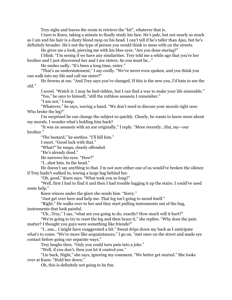Trey sighs and leaves the room to retrieve the "kit", whatever that is.

I turn to Kuen, taking a minute to finally study his face. He's pale, but not nearly as much as I am and his hair is a dusty blond mop on his head. I can't tell if he's taller than Ajax, but he's definitely broader. He's not the type of person you would think to mess with on the streets.

He gives me a look, piercing me with his blue eyes. "Are you done staring?"

I blink. "I'm seeing if we have any similarities. Trey told me a while ago that you're her brother and I just discovered her and I are sisters. So you must be..."

He smiles sadly. "It's been a long time, sister."

"That's an understatement," I say coolly. "We've never even spoken, and you think you can walk into my life and call me sister?"

He frowns at me. "And Trey says you've changed. If this is the new you, I'd hate to see the old."

I scowl. "Watch it. I may be bed-ridden, but I can find a way to make your life miserable." "Yes," he says to himself, "still the ruthless assassin I remember."

"I am *not*," I snap.

"Whatever," he says, waving a hand. "We don't need to discuss your morals right now. Who broke the leg?"

I'm surprised he can change the subject so quickly. Clearly, he wants to know more about my morals. I wonder what's holding him back?

"It was an assassin with an axe originally," I reply. "More recently...Hai, my—our brother."

"The bastard," he seethes. "I'll kill him."

I snort. "Good luck with that."

"What?" he snaps, clearly offended.

"He's already dead."

He narrows his eyes. "How?"

"I...shot him. In the head."

He doesn't say anything to that. I'm not sure either one of us would've broken the silence if Trey hadn't walked in, towing a large bag behind her.

"Oh, good," Kuen says. "What took you so long?"

"Well, first I had to find it and then I had trouble lugging it up the stairs. I could've used some help."

Kuen winces under the glare she sends him. "Sorry."

"Just get over here and help me. That leg isn't going to mend itself."

"Right." He walks over to her and they start pulling instruments out of the bag, instruments that look painful.

"Uh...Trey," I say, "what are you going to do, exactly? How much will it hurt?"

"We're going to try to reset the leg and then brace it," she replies. "Why does the pain matter? I thought you guys were something like friends?"

"I...um... I might have exaggerated a bit." Sweat drips down my back as I anticipate what's to come. "We're more like acquaintances," I go on, "met once on the street and made eye contact before going our separate ways."

Trey laughs then. "Only you could turn pain into a joke."

"Well, if you don't, then you let it control you."

"Lie back, Night," she says, ignoring my comment. "We better get started." She looks over at Kuen. "Hold her down."

Oh, this is definitely not going to be fun.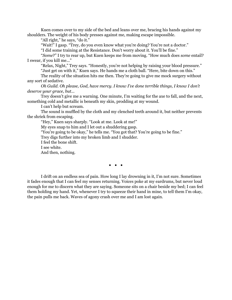Kuen comes over to my side of the bed and leans over me, bracing his hands against my shoulders. The weight of his body presses against me, making escape impossible.

"All right," he says, "do it."

"Wait!" I gasp. "Trey, do you even know what you're doing? You're not a doctor."

"I did some training at the Resistance. Don't worry about it. You'll be fine."

"*Some*?" I try to rear up, but Kuen keeps me from moving. "How much does *some* entail? I swear, if you kill me..."

"Relax, Night," Trey says. "Honestly, you're not helping by raising your blood pressure." "Just get on with it," Kuen says. He hands me a cloth ball. "Here, bite down on this."

The reality of the situation hits me then. They're going to give me mock surgery without any sort of sedative.

*Oh Guild. Oh please, God, have mercy. I know I've done terrible things, I know I don't deserve your grace, but...*

Trey doesn't give me a warning. One minute, I'm waiting for the axe to fall, and the next, something cold and metallic is beneath my skin, prodding at my wound.

I can't help but scream.

The sound is muffled by the cloth and my clenched teeth around it, but neither prevents the shriek from escaping.

"Hey," Kuen says sharply. "Look at me. Look at me!"

My eyes snap to him and I let out a shuddering gasp.

"You're going to be okay," he tells me. "You got that? You're going to be fine."

Trey digs further into my broken limb and I shudder.

I feel the bone shift.

I see white.

And then, nothing.

 $\bullet$   $\bullet$   $\bullet$ 

I drift on an endless sea of pain. How long I lay drowning in it, I'm not sure. Sometimes it fades enough that I can feel my senses returning. Voices poke at my eardrums, but never loud enough for me to discern what they are saying. Someone sits on a chair beside my bed; I can feel them holding my hand. Yet, whenever I try to squeeze their hand in mine, to tell them I'm okay, the pain pulls me back. Waves of agony crash over me and I am lost again.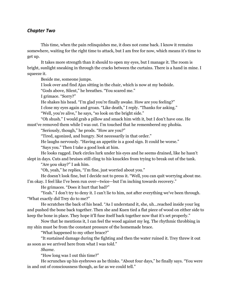## *Chapter Two*

This time, when the pain relinquishes me, it does not come back. I know it remains somewhere, waiting for the right time to attack, but I am free for now, which means it's time to get up.

It takes more strength than it should to open my eyes, but I manage it. The room is bright, sunlight sneaking in through the cracks between the curtains. There is a hand in mine. I squeeze it.

Beside me, someone jumps.

I look over and find Ajax sitting in the chair, which is now at my bedside.

"Gods above, Silent," he breathes. "You scared me."

I grimace. "Sorry?"

He shakes his head. "I'm glad you're finally awake. How are you feeling?"

I close my eyes again and groan. "Like death," I reply. "Thanks for asking."

"Well, you're alive," he says, "so look on the bright side."

"Oh shush." I would grab a pillow and smack him with it, but I don't have one. He must've removed them while I was out. I'm touched that he remembered my phobia.

"Seriously, though," he prods. "How are you?"

"Tired, agonized, and hungry. Not necessarily in that order."

He laughs nervously. "Having an appetite is a good sign. It could be worse."

"Says you." Then I take a good look at him.

He looks ragged. Dark circles lurk under his eyes and he seems drained, like he hasn't slept in days. Cuts and bruises still cling to his knuckles from trying to break out of the tank.

"Are *you* okay?" I ask him.

"Oh, yeah," he replies, "I'm fine, just worried about you."

He doesn't look fine, but I decide not to press it. "Well, you can quit worrying about me. I'm okay. I feel like I've been run over—twice—but I'm inching towards recovery."

He grimaces. "Does it hurt that bad?"

"Yeah." I don't try to deny it. I can't lie to him, not after everything we've been through. "What exactly did Trey do to me?"

He scratches the back of his head. "As I understand it, she, uh...reached inside your leg and pushed the bone back together. Then she and Kuen tied a flat piece of wood on either side to keep the bone in place. They hope it'll fuse itself back together now that it's set properly."

Now that he mentions it, I can feel the wood against my leg. The rhythmic throbbing in my shin must be from the constant pressure of the homemade brace.

"What happened to my other brace?"

"It sustained damage during the fighting and then the water ruined it. Trey threw it out as soon as we arrived here from what I was told."

*Shame.*

"How long was I out this time?"

He scrunches up his eyebrows as he thinks. "About four days," he finally says. "You were in and out of consciousness though, as far as we could tell."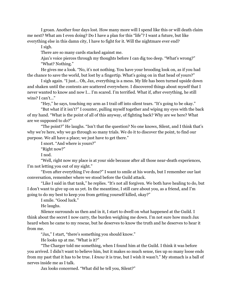I groan. Another four days lost. How many more will I spend like this or will death claim me next? What am I even doing? Do I have a plan for this "life"? I want a future, but like everything else in this damn city, I have to fight for it. Will the nightmare ever end?

I sigh.

There are so many cards stacked against me.

Ajax's voice pierces through my thoughts before I can dig too deep. "What's wrong?" "What? Nothing."

He gives me a look. "No, it's not nothing. You have your brooding look on, as if you had the chance to save the world, but lost by a fingertip. What's going on in that head of yours?"

I sigh again. "I just… Oh, Jax, everything is a mess. My life has been turned upside down and shaken until the contents are scattered everywhere. I discovered things about myself that I never wanted to know and now I… I'm scared. I'm terrified. What if, after everything, he still wins? I can't…"

"Hey," he says, touching my arm as I trail off into silent tears. "It's going to be okay."

"But what if it isn't?" I counter, pulling myself together and wiping my eyes with the back of my hand. "What is the point of all of this anyway, of fighting back? Why are we here? What are we supposed to *do*?"

"The point?" He laughs. "Isn't that the question? No one knows, Silent, and I think that's why we're here, why we go through so many trials. We do it to discover the point, to find our purpose. We all have a place; we just have to get there."

I snort. "And where is yours?"

"Right now?"

I nod.

"Well, right now my place is at your side because after all those near-death experiences, I'm not letting you out of my sight."

"Even after everything I've done?" I want to smile at his words, but I remember our last conversation, remember where we stood before the Guild attack.

"Like I said in that tank," he replies. "It's not all forgiven. We both have healing to do, but I don't want to give up on us yet. In the meantime, I still care about you, as a friend, and I'm going to do my best to keep you from getting yourself killed, okay?"

I smile. "Good luck."

He laughs.

Silence surrounds us then and in it, I start to dwell on what happened at the Guild. I think about the secret I now carry, the burden weighing me down. I'm not sure how much Jax heard when he came to my rescue, but he deserves to know the truth and he deserves to hear it from me.

"Jax," I start, "there's something you should know."

He looks up at me. "What is it?"

"The Charger told me something, when I found him at the Guild. I think it was before you arrived. I didn't want to believe him, but it makes so much sense, ties up so many loose ends from my past that it has to be true. I *know* it is true, but I wish it wasn't." My stomach is a ball of nerves inside me as I talk.

Jax looks concerned. "What did he tell you, Silent?"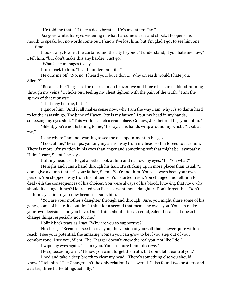"He told me that…" I take a deep breath. "He's my father, Jax."

Jax goes white, his eyes widening in what I assume is fear and shock. He opens his mouth to speak, but no words come out. I know I've lost him, but I'm glad I got to see him one last time.

I look away, toward the curtains and the city beyond. "I understand, if you hate me now," I tell him, "but don't make this any harder. Just go."

"What?" he manages to say.

I turn back to him. "I said I understand if—"

He cuts me off. "No, no. I heard you, but I don't… Why on earth would I hate you, Silent?"

"Because the Charger is the darkest man to ever live and I have his cursed blood running through my veins," I choke out, feeling my chest tighten with the pain of the truth. "I am the spawn of that *monster*."

"That may be true, but—"

I ignore him. "And it all makes sense now, why I am the way I am, why it's so damn hard to let the assassin go. The bane of Haven City is my father." I put my head in my hands, squeezing my eyes shut. "This world is such a cruel place. Go now, Jax, before I beg you not to."

"Silent, you're not listening to me," he says. His hands wrap around my wrists. "Look at me."

I stay where I am, not wanting to see the disappointment in his gaze.

"Look at me," he snaps, yanking my arms away from my head so I'm forced to face him. There is more...frustration in his eyes than anger and something soft that might be...sympathy. "I don't care, Silent," he says.

I tilt my head as if to get a better look at him and narrow my eyes. "I… You what?"

He sighs and runs a hand through his hair. It's sticking up in more places than usual. "I don't give a damn that he's your father, Silent. You're not him. You've always been your own person. You stepped away from his influence. You started fresh. You changed and left him to deal with the consequences of his choices. You were always of his blood; knowing that now, why should it change things? He treated you like a servant, not a daughter. Don't forget that. Don't let him lay claim to you now because it suits him.

"You are your mother's daughter through and through. Sure, you might share some of his genes, some of his traits, but don't think for a second that means he owns you. You can make your own decisions and you have. Don't think about it for a second, Silent because it doesn't change things, especially not for me."

I blink back tears as I say, "Why are you so supportive?"

He shrugs. "Because I see the real you, the version of yourself that's never quite within reach. I see your potential, the amazing woman you can grow to be if you step out of your comfort zone. I see you, Silent. The Charger doesn't know the real you, not like I do."

I wipe my eyes again. "Thank you. You are more than I deserve."

He squeezes my arm. "I know you can't forget the truth, but don't let it control you."

I nod and take a deep breath to clear my head. "There's something else you should know," I tell him. "The Charger isn't the only relation I discovered. I also found two brothers and a sister, three half-siblings actually."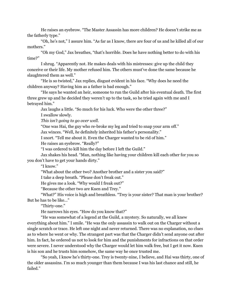He raises an eyebrow. "The Master Assassin has more children? He doesn't strike me as the fatherly type."

"Oh, he's not," I assure him. "As far as I know, there are four of us and he killed all of our mothers."

"Oh my God," Jax breathes, "that's horrible. Does he have nothing better to do with his time?"

I shrug. "Apparently not. He makes deals with his mistresses: give up the child they conceive or their life. My mother refused him. The others must've done the same because he slaughtered them as well."

"He is so twisted," Jax replies, disgust evident in his face. "Why does he need the children anyway? Having him as a father is bad enough."

"He says he wanted an heir, someone to run the Guild after his eventual death. The first three grew up and he decided they weren't up to the task, so he tried again with me and I betrayed him."

Jax laughs a little. "So much for his luck. Who were the other three?"

I swallow slowly.

*This isn't going to go over well.*

"One was Hai, the guy who re-broke my leg and tried to snap your arm off."

Jax winces. "Well, *he* definitely inherited his father's personality."

I snort. "Tell me about it. Even the Charger wanted to be rid of him."

He raises an eyebrow. "Really?"

"I was ordered to kill him the day before I left the Guild."

Jax shakes his head. "Man, nothing like having your children kill each other for you so you don't have to get your hands dirty."

"I know."

"What about the other two? Another brother and a sister you said?"

I take a deep breath. "Please don't freak out."

He gives me a look. "Why would I freak out?"

"Because the other two are Kuen and Trey."

"What?" His voice is high and breathless. "Trey is your sister? That man is your brother? But he has to be like…"

"Thirty-one."

He narrows his eyes. "How do you know that?"

"He was somewhat of a legend at the Guild, a mystery. So naturally, we all knew everything about him." I smile. "He was the only assassin to walk out on the Charger without a single scratch or trace. He left one night and never returned. There was no explanation, no clues as to where he went or why. The strangest part was that the Charger didn't send anyone out after him. In fact, he ordered us not to look for him and the punishments for infractions on that order were severe. I never understood why the Charger would let him walk free, but I get it now. Kuen is his son and he trusts him somehow, the same way he once trusted me.

"So yeah, I know he's thirty-one. Trey is twenty-nine, I believe, and Hai was thirty, one of the older assassins. I'm so much younger than them because I was his last chance and still, he failed."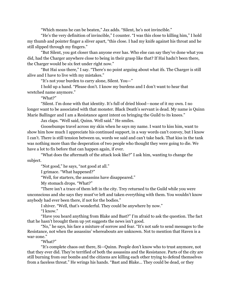"Which means he can be beaten," Jax adds. "Silent, he's not invincible."

"He's the very definition of invincible," I counter. "I was this close to killing him," I hold my thumb and pointer finger a sliver apart, "this close. I had my knife against his throat and he still slipped through my fingers."

"But Silent, you got closer than anyone ever has. Who else can say they've done what you did, had the Charger anywhere close to being in their grasp like that? If Hai hadn't been there, the Charger would be six feet under right now."

"But Hai *was* there," I say. "There's no point arguing about what ifs. The Charger is still alive and I have to live with my mistakes."

"It's not your burden to carry alone, Silent. You—"

I hold up a hand. "Please don't. I know my burdens and I don't want to hear that wretched name anymore."

"What?"

"Silent. I'm done with that identity. It's full of dried blood—none of it my own. I no longer want to be associated with that monster. Black Death's servant is dead. My name is Quinn Marie Ballinger and I am a Resistance agent intent on bringing the Guild to its knees."

Jax claps. "Well said, Quinn. Well said." He smiles.

Goosebumps travel across my skin when he says my name. I want to kiss him, want to show him how much I appreciate his continued support, in a way words can't convey, but I know I can't. There is still tension between us, words we said and can't take back. That kiss in the tank was nothing more than the desperation of two people who thought they were going to die. We have a lot to fix before that can happen again, if ever.

"What does the aftermath of the attack look like?" I ask him, wanting to change the subject.

"Not good," he says, "not good at all."

I grimace. "What happened?"

"Well, for starters, the assassins have disappeared."

My stomach drops. "What?"

"There isn't a trace of them left in the city. Trey returned to the Guild while you were unconscious and she says they must've left and taken everything with them. You wouldn't know anybody had ever been there, if not for the bodies."

I shiver. "Well, that's wonderful. They could be anywhere by now." "I know."

"Have you heard anything from Blake and Bast?" I'm afraid to ask the question. The fact that he hasn't brought them up yet suggests the news isn't good.

"No," he says, his face a mixture of sorrow and fear. "It's not safe to send messages to the Resistance, not when the assassins' whereabouts are unknown. Not to mention that Haven is a war-zone."

"What?"

"It's complete chaos out there, Si—Quinn. People don't know who to trust anymore, not that they ever did. They're terrified of both the assassins and the Resistance. Parts of the city are still burning from our bombs and the citizens are killing each other trying to defend themselves from a faceless threat." He wrings his hands. "Bast and Blake... They could be dead, or they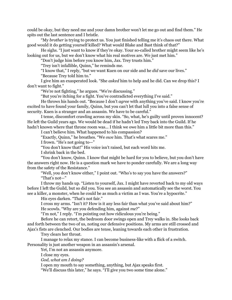could be okay, but they need me and your damn brother won't let me go out and find them." He spits out the last sentence and I bristle.

"My *brother* is trying to protect us. You just finished telling me it's chaos out there. What good would it do getting yourself killed? What would Blake and Bast think of that?"

He sighs. "I just want to know if they're okay. Your so-called brother might seem like he's looking out for us, but we don't know what his real motives are. We just met him."

"Don't judge him before you know him, Jax. Trey trusts him."

"Trey isn't infallible, Quinn," he reminds me.

"I know that," I reply, "but we want Kuen on our side and he *did* save our lives."

"Because Trey told him to."

I give him an exasperated look. "She *asked* him to help and he did. Can we drop this? I don't want to fight."

"We're not fighting," he argues. "We're discussing."

"But you're itching for a fight. You've contradicted everything I've said."

He throws his hands out. "Because I don't *agree* with anything you've said. I know you're excited to have found your family, Quinn, but you can't let that lull you into a false sense of security. Kuen is a stranger and an assassin. We have to be careful."

I tense, discomfort crawling across my skin. "So, what, he's guilty until proven innocent? He left the Guild years ago. We would be dead if he hadn't led Trey back into the Guild. If he hadn't known where that throne room was... I think we owe him a little bit more than this."

I can't believe him. What happened to his compassion?

"Exactly, Quinn," he breathes. "We *owe* him. That's what scares me."

I frown. "He's not going to—"

"You don't know that!" His voice isn't raised, but each word hits me.

I shrink back in the bed.

"You don't know, Quinn. I know that might be hard for you to believe, but you don't have the answers right now. He is a question mark we have to ponder carefully. We are a long way from the safety of the Resistance."

"Well, you don't know either," I point out. "Who's to say you have the answers?" "That's not—"

I throw my hands up. "Listen to yourself, Jax. I might have reverted back to my old ways before I left the Guild, but so did you. You see an assassin and automatically see the worst. You see a killer, a monster, when he could be as much a victim as I was. You're a hypocrite."

His eyes darken. "That's not fair."

I cross my arms. "Isn't it? How is it any less fair than what you've said about him?" He scowls. "Why are you defending him, against *me*?"

"I'm not," I reply. "I'm pointing out how ridiculous you're being."

Before he can retort, the bedroom door swings open and Trey walks in. She looks back and forth between the two of us, noting our defensive positions. My arms are still crossed and Ajax's fists are clenched. Our bodies are tense, leaning towards each other in frustration.

Trey clears her throat.

I manage to relax my stance. I can become business-like with a flick of a switch. Personality is just another weapon in an assassin's arsenal.

Yet, I'm not an assassin anymore.

I close my eyes.

*God, what am I doing?*

I open my mouth to say something, anything, but Ajax speaks first.

"We'll discuss this later," he says. "I'll give you two some time alone."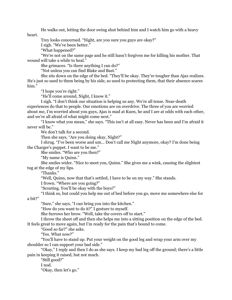He walks out, letting the door swing shut behind him and I watch him go with a heavy heart.

Trey looks concerned. "Night, are you sure you guys are okay?"

I sigh. "We've been better."

"What happened?"

"We're not on the same page and he still hasn't forgiven me for killing his mother. That wound will take a while to heal."

She grimaces. "Is there anything I can do?"

"Not unless you can find Blake and Bast."

She sits down on the edge of the bed. "They'll be okay. They're tougher than Ajax realizes. He's just so used to them being by his side, so used to protecting them, that their absence scares him."

"I hope you're right."

"He'll come around, Night, I know it."

I sigh. "I don't think our situation is helping us any. We're all tense. Near-death experiences do that to people. Our emotions are on overdrive. The three of you are worried about me, I'm worried about you guys, Ajax is mad at Kuen, he and I are at odds with each other, and we're all afraid of what might come next."

"I know what you mean," she says. "This isn't at all easy. Never has been and I'm afraid it never will be."

We don't talk for a second.

Then she says, "Are you doing okay, Night?"

I shrug. "I've been worse and um… Don't call me Night anymore, okay? I'm done being the Charger's puppet. I want to be me."

She smiles. "Who are you then?"

"My name is Quinn."

She smiles wider. "Nice to meet you, Quinn." She gives me a wink, causing the slightest tug at the edge of my lips.

"Thanks."

"Well, Quinn, now that that's settled, I have to be on my way." She stands.

I frown. "Where are you going?"

"Scouting. You'll be okay with the boys?"

"I think so, but could you help me out of bed before you go, move me somewhere else for a bit?"

"Sure," she says, "I can bring you into the kitchen."

"How do you want to do it?" I gesture to myself.

She furrows her brow. "Well, take the covers off to start."

I throw the sheet off and then she helps me into a sitting position on the edge of the bed. It feels great to move again, but I'm ready for the pain that's bound to come.

"Good so far?" she asks.

"Yes. What now?"

"You'll have to stand up. Put your weight on the good leg and wrap your arm over my shoulder so I can support your bad side."

"Okay," I reply and then I do as she says. I keep my bad leg off the ground; there's a little pain in keeping it raised, but not much.

"Still good?"

I nod.

"Okay, then let's go."